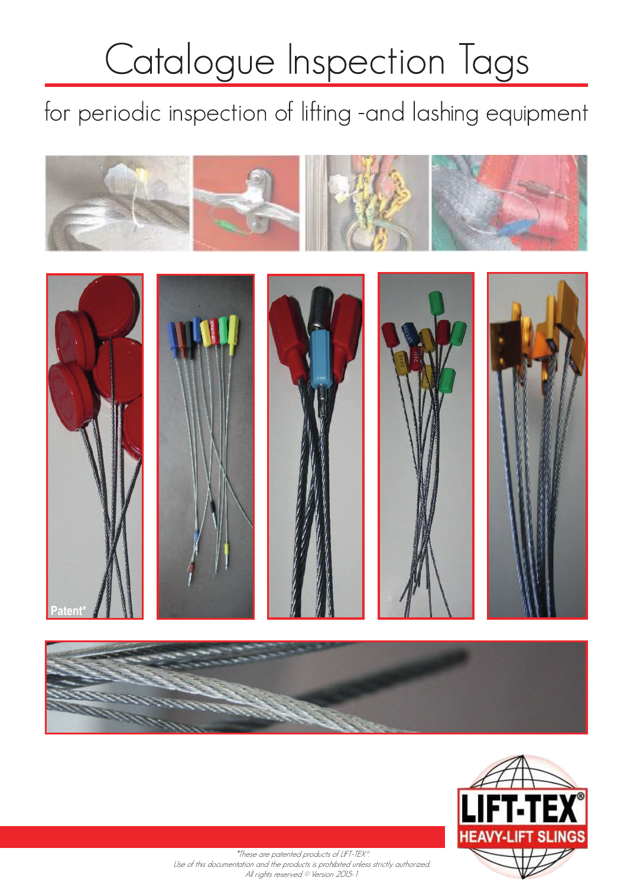# Catalogue Inspection Tags

for periodic inspection of lifting -and lashing equipment





 \*These are patented products of LIFT-TEX®. Use of this documentation and the products is prohibited unless strictly authorized. All rights reserved © Version 2015-1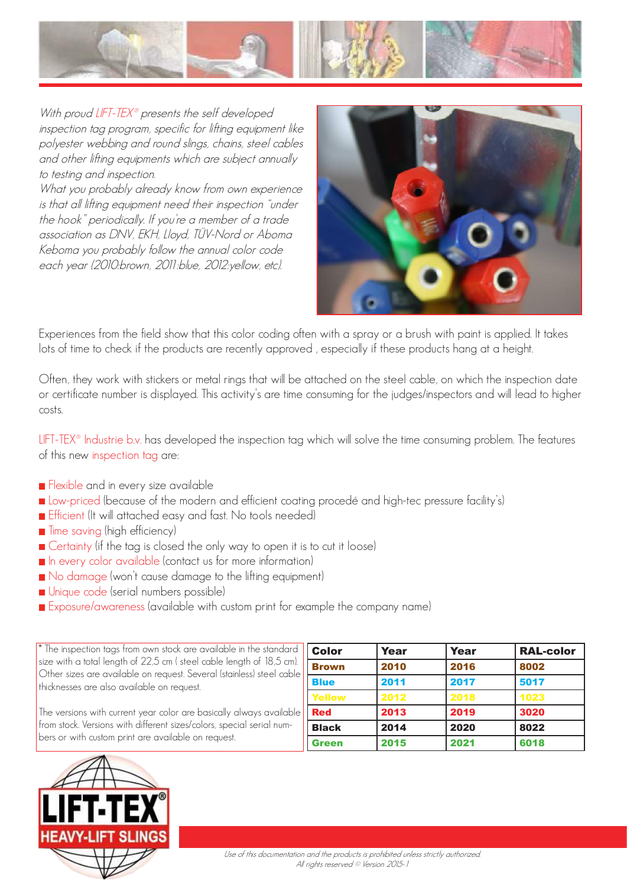

With proud LIFT-TEX<sup>®</sup> presents the self developed inspection tag program, specific for lifting equipment like polyester webbing and round slings, chains, steel cables and other lifting equipments which are subject annually to testing and inspection.

What you probably already know from own experience is that all lifting equipment need their inspection "under the hook" periodically. If you're a member of a trade association as DNV, EKH, Lloyd, TÜV-Nord or Aboma Keboma you probably follow the annual color code each year (2010:brown, 2011:blue, 2012:yellow, etc).



Experiences from the field show that this color coding often with a spray or a brush with paint is applied. It takes lots of time to check if the products are recently approved , especially if these products hang at a height.

Often, they work with stickers or metal rings that will be attached on the steel cable, on which the inspection date or certificate number is displayed. This activity's are time consuming for the judges/inspectors and will lead to higher costs.

LIFT-TEX<sup>®</sup> Industrie b.v. has developed the inspection tag which will solve the time consuming problem. The features of this new inspection tag are:

- Flexible and in every size available
- **Low-priced (because of the modern and efficient coating procedé and high-tec pressure facility's)**
- **Efficient (It will attached easy and fast. No tools needed)**
- $\blacksquare$  Time saving (high efficiency)
- Certainty (if the tag is closed the only way to open it is to cut it loose)
- In every color available (contact us for more information)
- No damage (won't cause damage to the lifting equipment)
- Unique code (serial numbers possible)
- Exposure/awareness (available with custom print for example the company name)

| $*$ The inspection tags from own stock are available in the standard<br>size with a total length of 22,5 cm (steel cable length of 18,5 cm).<br>Other sizes are available on request. Several (stainless) steel cable<br>thicknesses are also available on request. | <b>Color</b> | Year | <b>Year</b> | <b>RAL-color</b> |
|---------------------------------------------------------------------------------------------------------------------------------------------------------------------------------------------------------------------------------------------------------------------|--------------|------|-------------|------------------|
|                                                                                                                                                                                                                                                                     | <b>Brown</b> | 2010 | 2016        | 8002             |
|                                                                                                                                                                                                                                                                     | <b>Blue</b>  | 2011 | 2017        | 5017             |
|                                                                                                                                                                                                                                                                     | Yellow       | 2012 | 2018        | 1023             |
| The versions with current year color are basically always available<br>from stock. Versions with different sizes/colors, special serial num-<br>bers or with custom print are available on request.                                                                 | l Red        | 2013 | 2019        | 3020             |
|                                                                                                                                                                                                                                                                     | <b>Black</b> | 2014 | 2020        | 8022             |
|                                                                                                                                                                                                                                                                     | Green        | 2015 | 2021        | 6018             |

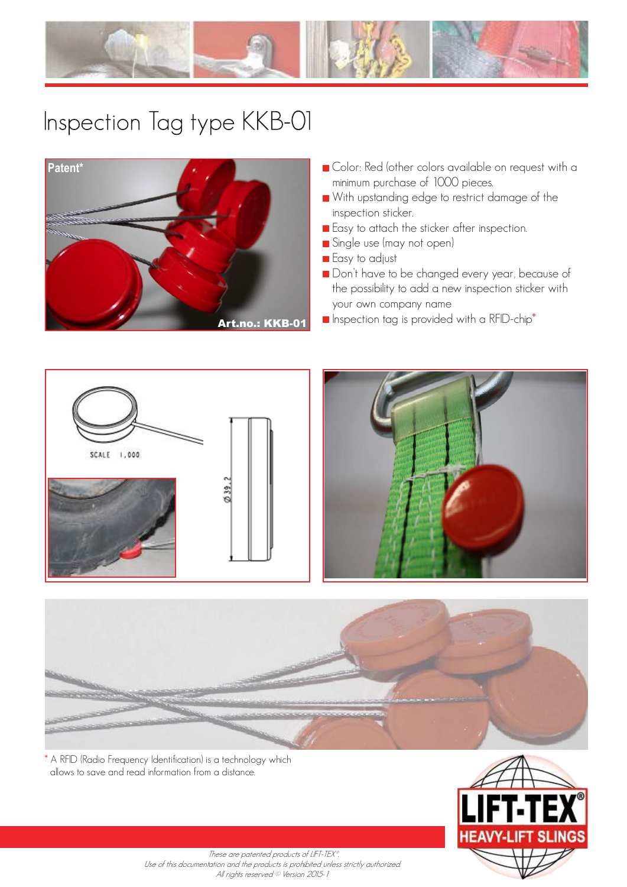



- Color: Red (other colors available on request with a minimum purchase of 1000 pieces.
- With upstanding edge to restrict damage of the inspection sticker.
- **Easy to attach the sticker after inspection.**
- Single use (may not open)
- **Easy** to adjust
- Don't have to be changed every year, because of the possibility to add a new inspection sticker with your own company name
- Art.no.: KKB-01 **E** Inspection tag is provided with a RFID-chip<sup>\*</sup>







\* A RFID (Radio Frequency Identification) is a technology which allows to save and read information from a distance.



These are patented products of LIFT-TEX®. Use of this documentation and the products is prohibited unless strictly authorized. All rights reserved © Version 2015-1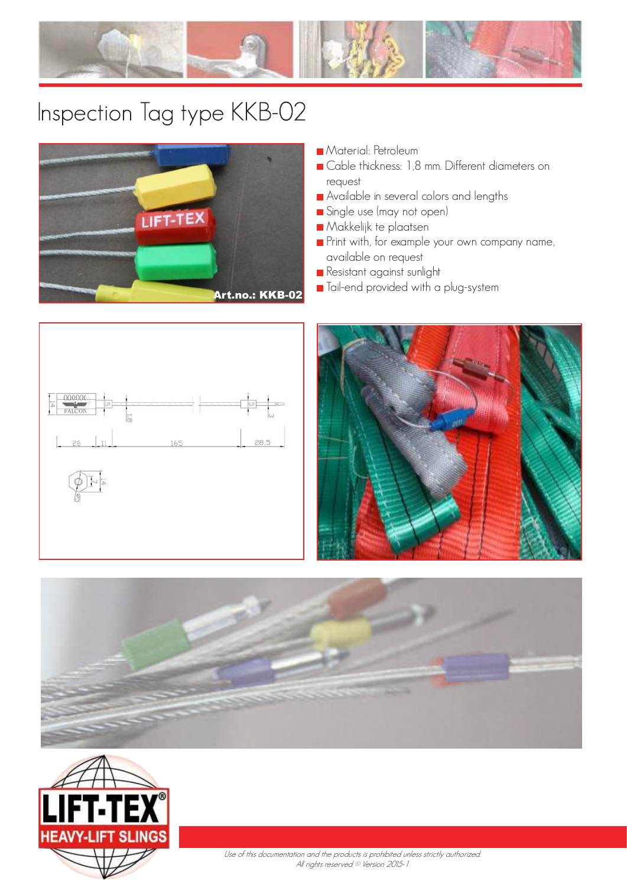



- **Material: Petroleum**
- Cable thickness: 1,8 mm. Different diameters on request
- Available in several colors and lengths
- Single use (may not open)
- Makkelijk te plaatsen
- **Print with, for example your own company name,** available on request
- **Resistant against sunlight**
- Art.no.: KKB-02 **T**ail-end provided with a plug-system







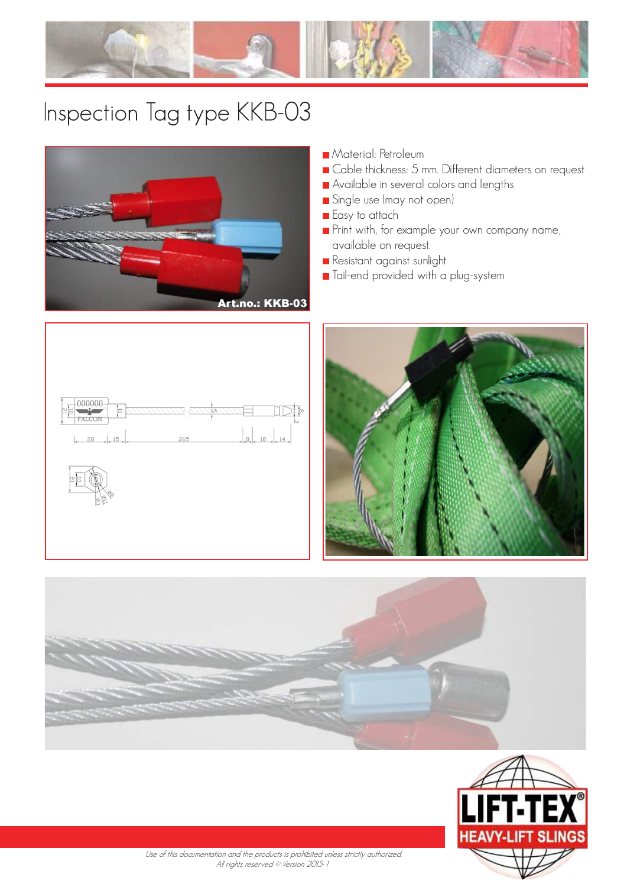



- **Material: Petroleum**
- Gable thickness: 5 mm. Different diameters on request
- Available in several colors and lengths
- Single use (may not open)
- **Easy** to attach
- **Print with, for example your own company name,** available on request.
- Resistant against sunlight
- **Tail-end provided with a plug-system**









 Use of this documentation and the products is prohibited unless strictly authorized. All rights reserved © Version 2015-1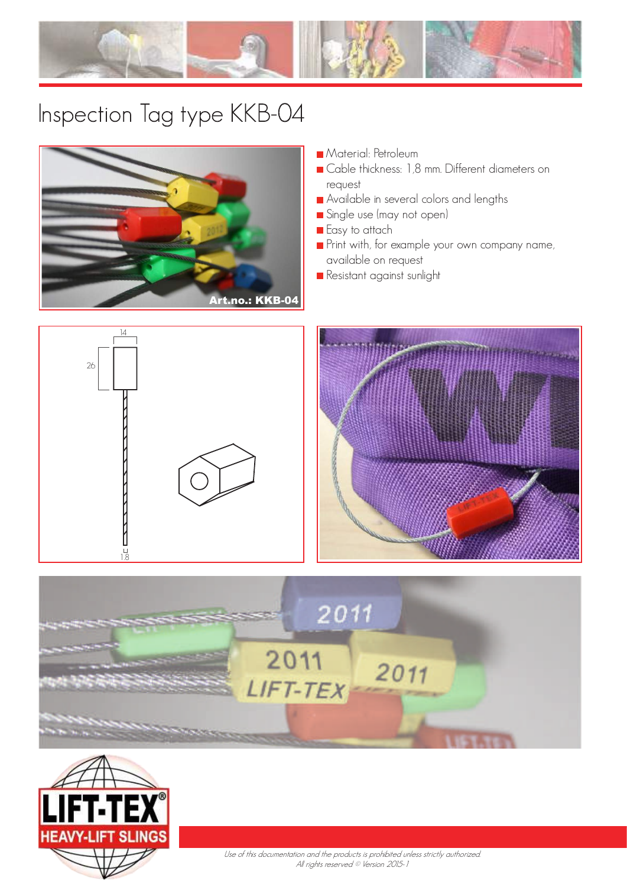



- **Material: Petroleum**
- Cable thickness: 1,8 mm. Different diameters on request
- Available in several colors and lengths
- Single use (may not open)
- **Easy** to attach
- Print with, for example your own company name, available on request
- **Resistant against sunlight**









Use of this documentation and the products is prohibited unless strictly authorized. All rights reserved © Version 2015-1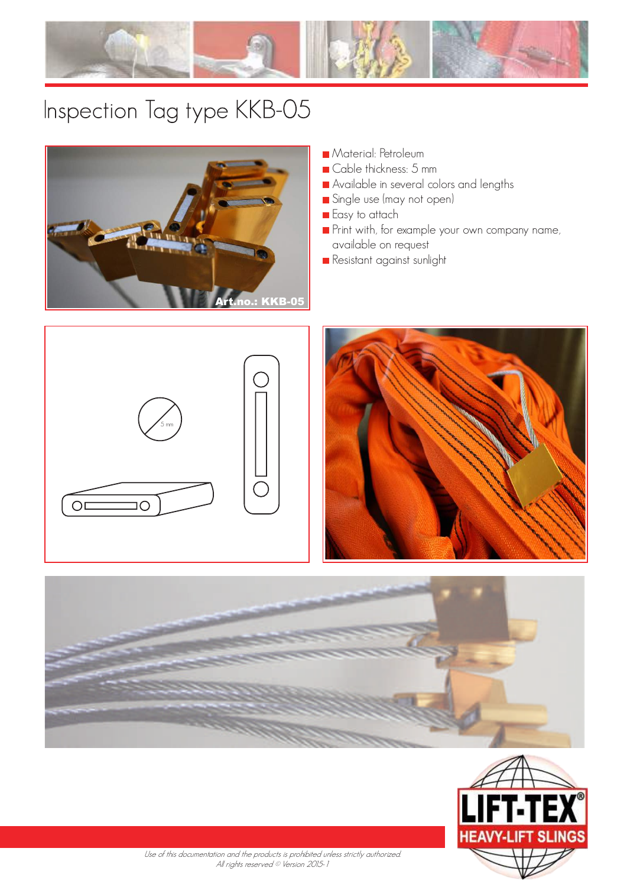



- **Material: Petroleum**
- Cable thickness: 5 mm
- Available in several colors and lengths
- Single use (may not open)
- **Easy** to attach
- **Print with, for example your own company name,** available on request
- Resistant against sunlight









Use of this documentation and the products is prohibited unless strictly authorized. All rights reserved © Version 2015-1